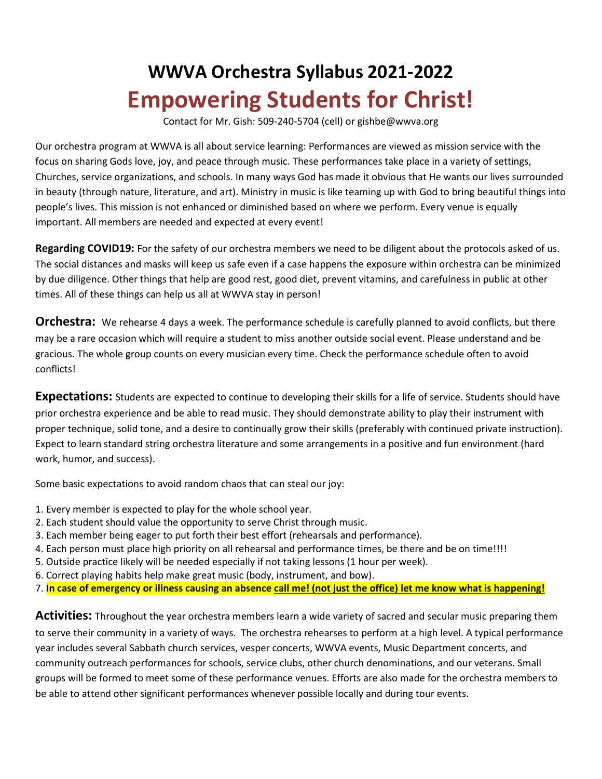## **WWVA Orchestra Syllabus 2021-2022 Empowering Students for Christ!**

Contact for Mr. Gish: 509-240-5704 (cell) or gishbe@wwva.org

Our orchestra program at WWVA is all about service learning: Performances are viewed as mission service with the focus on sharing Gods love, joy, and peace through music. These performances take place in a variety of settings, Churches, service organizations, and schools. In many ways God has made it obvious that He wants our lives surrounded in beauty (through nature, literature, and art). Ministry in music is like teaming up with God to bring beautiful things into people's lives. This mission is not enhanced or diminished based on where we perform. Every venue is equally important. All members are needed and expected at every event!

**Regarding COVID19:** For the safety of our orchestra members we need to be diligent about the protocols asked of us. The social distances and masks will keep us safe even if a case happens the exposure within orchestra can be minimized by due diligence. Other things that help are good rest, good diet, prevent vitamins, and carefulness in public at other times. All of these things can help us all at WWVA stay in person!

**Orchestra:** We rehearse 4 days a week. The performance schedule is carefully planned to avoid conflicts, but there may be a rare occasion which will require a student to miss another outside social event. Please understand and be gracious. The whole group counts on every musician every time. Check the performance schedule often to avoid conflicts!

**Expectations:** Students are expected to continue to developing their skills for a life of service. Students should have prior orchestra experience and be able to read music. They should demonstrate ability to play their instrument with proper technique, solid tone, and a desire to continually grow their skills (preferably with continued private instruction). Expect to learn standard string orchestra literature and some arrangements in a positive and fun environment (hard work, humor, and success).

Some basic expectations to avoid random chaos that can steal our joy:

- 1. Every member is expected to play for the whole school year.
- 2. Each student should value the opportunity to serve Christ through music.
- 3. Each member being eager to put forth their best effort (rehearsals and performance).
- 4. Each person must place high priority on all rehearsal and performance times, be there and be on time!!!!
- 5. Outside practice likely will be needed especially if not taking lessons (1 hour per week).
- 6. Correct playing habits help make great music (body, instrument, and bow).
- 7. **In case of emergency or illness causing an absence call me! (not just the office) let me know what is happening!**

**Activities:** Throughout the year orchestra members learn a wide variety of sacred and secular music preparing them to serve their community in a variety of ways. The orchestra rehearses to perform at a high level. A typical performance year includes several Sabbath church services, vesper concerts, WWVA events, Music Department concerts, and community outreach performances for schools, service clubs, other church denominations, and our veterans. Small groups will be formed to meet some of these performance venues. Efforts are also made for the orchestra members to be able to attend other significant performances whenever possible locally and during tour events.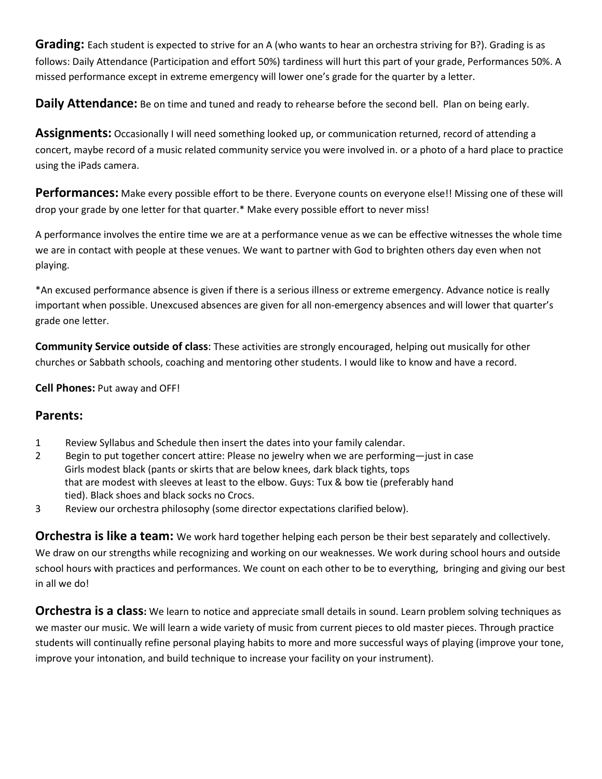**Grading:** Each student is expected to strive for an A (who wants to hear an orchestra striving for B?). Grading is as follows: Daily Attendance (Participation and effort 50%) tardiness will hurt this part of your grade, Performances 50%. A missed performance except in extreme emergency will lower one's grade for the quarter by a letter.

**Daily Attendance:** Be on time and tuned and ready to rehearse before the second bell. Plan on being early.

**Assignments:** Occasionally I will need something looked up, or communication returned, record of attending a concert, maybe record of a music related community service you were involved in. or a photo of a hard place to practice using the iPads camera.

**Performances:** Make every possible effort to be there. Everyone counts on everyone else!! Missing one of these will drop your grade by one letter for that quarter.\* Make every possible effort to never miss!

A performance involves the entire time we are at a performance venue as we can be effective witnesses the whole time we are in contact with people at these venues. We want to partner with God to brighten others day even when not playing.

\*An excused performance absence is given if there is a serious illness or extreme emergency. Advance notice is really important when possible. Unexcused absences are given for all non-emergency absences and will lower that quarter's grade one letter.

**Community Service outside of class**: These activities are strongly encouraged, helping out musically for other churches or Sabbath schools, coaching and mentoring other students. I would like to know and have a record.

**Cell Phones:** Put away and OFF!

## **Parents:**

- 1 Review Syllabus and Schedule then insert the dates into your family calendar.
- 2 Begin to put together concert attire: Please no jewelry when we are performing—just in case Girls modest black (pants or skirts that are below knees, dark black tights, tops that are modest with sleeves at least to the elbow. Guys: Tux & bow tie (preferably hand tied). Black shoes and black socks no Crocs.
- 3 Review our orchestra philosophy (some director expectations clarified below).

**Orchestra is like a team:** We work hard together helping each person be their best separately and collectively.

We draw on our strengths while recognizing and working on our weaknesses. We work during school hours and outside school hours with practices and performances. We count on each other to be to everything, bringing and giving our best in all we do!

**Orchestra is a class:** We learn to notice and appreciate small details in sound. Learn problem solving techniques as we master our music. We will learn a wide variety of music from current pieces to old master pieces. Through practice students will continually refine personal playing habits to more and more successful ways of playing (improve your tone, improve your intonation, and build technique to increase your facility on your instrument).